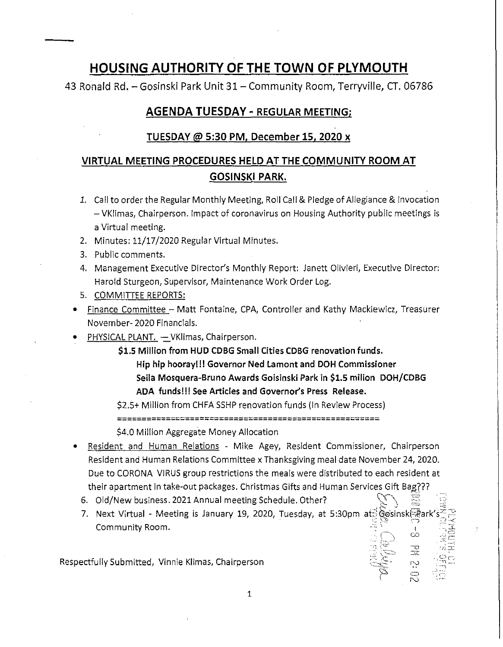## HOUSING AUTHORITY OF THE TOWN OF PLYMOUTH

43 Ronald Rd. - Gesinski Park Unit 31 - Community Room, Terryville, CT. 06786

## AGENDA TUESDAY- REGULAR MEETING;

## TUESDAY@ 5:30 PM, December 15, 2020 x

## VIRTUAL MEETING PROCEDURES HELD AT THE COMMUNITY ROOM AT GOSINSKI PARK.

- *1.*  Call to order the Regular Monthly Meeting, Roll Call & Pledge of Allegiance & Invocation - VKlimas, Chairperson. Impact of coronavirus on Housing Authority public meetings is a Virtual meeting.
- 2. Minutes: 11/17/2020 Regular Virtual Minutes.
- 3. Public comments.
- 4. Management Executive Director's Monthly Report: Janett Olivieri, Executive Director: Harold Sturgeon, Supervisor, Maintenance Work Order Log.
- 5. COMMITTEE REPORTS:
- Finance Committee Matt Fontaine, CPA, Controller and Kathy Mackiewicz, Treasurer November- 2020 Financials.
- PHYSICAL PLANT. VKlimas, Chairperson.
	- \$1.S Million from HUD CDBG Small Cities CDBG renovation funds. Hip hip hooray!!! Governor Ned Lamont and DOH Commissioner Seila Mosquera-Bruno Awards Goisinski Park in \$1.5 milion DOH/CDBG ADA funds!!! See Articles and Governor's Press Release.

\$2.5+ Million from CHFA SSHP renovation funds (In Review Process) ======================================================

\$4.0 Million Aggregate Money Allocation

- Resident and Human Relations Mike Agey, Resident Commissioner, Chairperson Resident and Human Relations Committee x Thanksgiving meal date November 24, 2020. Due to CORONA VIRUS group restrictions the meals were distributed to each resident at their apartment in take-out packages. Christmas Gifts and Human Services Gift Bag???
	- 6. Old/New business. 2021 Annual meeting Schedule. Other?
	- $\mathbb{R}^N$  ,  $\mathbb{R}^N$  $\bigcirc$  .  $\circ$  .  $\exists \Xi$  . 7. Next Virtual - Meeting is January 19, 2020, Tuesday, at 5:30pm at *exister* ark  $\mathsf{Community}$  Room. The community  $\mathsf{Room}$  and  $\mathbb{R}^3 \rightarrow \mathbb{R}^3$

 $\nabla$  /  $\Xi$   $\equiv$   $\Xi$ 

 $-$ "  $\omega \equiv$ -  $\cdot$  ;  $\sim$ 

Respectfully Submitted, Vinnie Klimas, Chairperson